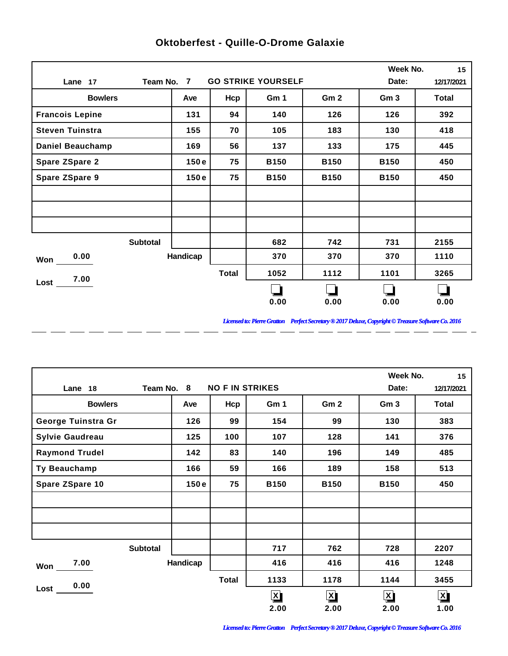|                         |                 |          |              |                           |                 | Week No.        | 15         |
|-------------------------|-----------------|----------|--------------|---------------------------|-----------------|-----------------|------------|
| Lane 17                 | Team No. 7      |          |              | <b>GO STRIKE YOURSELF</b> |                 | Date:           | 12/17/2021 |
| <b>Bowlers</b>          |                 | Ave      | Hcp          | Gm 1                      | Gm <sub>2</sub> | Gm <sub>3</sub> | Total      |
| <b>Francois Lepine</b>  |                 | 131      | 94           | 140                       | 126             | 126             | 392        |
| <b>Steven Tuinstra</b>  |                 | 155      | 70           | 105                       | 183             | 130             | 418        |
| <b>Daniel Beauchamp</b> |                 | 169      | 56           | 137                       | 133             | 175             | 445        |
| <b>Spare ZSpare 2</b>   |                 | 150e     | 75           | <b>B150</b>               | <b>B150</b>     | <b>B150</b>     | 450        |
| <b>Spare ZSpare 9</b>   |                 | 150e     | 75           | <b>B150</b>               | <b>B150</b>     | <b>B150</b>     | 450        |
|                         |                 |          |              |                           |                 |                 |            |
|                         |                 |          |              |                           |                 |                 |            |
|                         |                 |          |              |                           |                 |                 |            |
|                         | <b>Subtotal</b> |          |              | 682                       | 742             | 731             | 2155       |
| 0.00<br>Won             |                 | Handicap |              | 370                       | 370             | 370             | 1110       |
| 7.00                    |                 |          | <b>Total</b> | 1052                      | 1112            | 1101            | 3265       |
| Lost                    |                 |          |              |                           |                 |                 |            |
|                         |                 |          |              | 0.00                      | 0.00            | 0.00            | 0.00       |

 $-$ 

 $\overline{a}$ 

 $=$   $=$ 

 $\overline{a}$ 

 $\overline{a}$ 

 $\overline{a}$ 

 $\overline{a}$ 

 $\overline{a}$ 

## **Oktoberfest - Quille-O-Drome Galaxie**

*Licensed to: Pierre Gratton Perfect Secretary ® 2017 Deluxe, Copyright © Treasure Software Co. 2016* \_ \_\_ \_\_ \_\_ \_\_ \_\_ \_\_ \_\_ \_\_ \_\_ \_\_ \_\_

 $\overline{a}$   $\overline{a}$ 

|                        |            |                        |             |                         | Week No.        | 15           |
|------------------------|------------|------------------------|-------------|-------------------------|-----------------|--------------|
| Lane 18                | Team No. 8 | <b>NO F IN STRIKES</b> |             |                         | Date:           | 12/17/2021   |
| <b>Bowlers</b>         | Ave        | Hcp                    | Gm 1        | Gm <sub>2</sub>         | Gm <sub>3</sub> | <b>Total</b> |
| George Tuinstra Gr     | 126        | 99                     | 154         | 99                      | 130             | 383          |
| <b>Sylvie Gaudreau</b> | 125        | 100                    | 107         | 128                     | 141             | 376          |
| <b>Raymond Trudel</b>  | 142        | 83                     | 140         | 196                     | 149             | 485          |
| Ty Beauchamp           | 166        | 59                     | 166         | 189                     | 158             | 513          |
| Spare ZSpare 10        | 150e       | 75                     | <b>B150</b> | <b>B150</b>             | <b>B150</b>     | 450          |
|                        |            |                        |             |                         |                 |              |
|                        |            |                        |             |                         |                 |              |
|                        |            |                        |             |                         |                 |              |
| <b>Subtotal</b>        |            |                        | 717         | 762                     | 728             | 2207         |
| 7.00<br>Won            | Handicap   |                        | 416         | 416                     | 416             | 1248         |
| 0.00                   |            | <b>Total</b>           | 1133        | 1178                    | 1144            | 3455         |
| Lost                   |            |                        | <u> X)</u>  | $\overline{\mathbf{X}}$ | $\mathbf{X}$    | $\mathbf{X}$ |
|                        |            |                        | 2.00        | 2.00                    | 2.00            | 1.00         |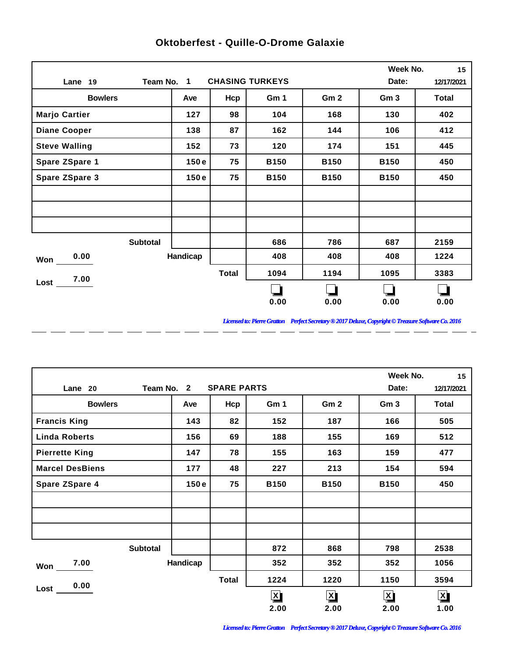|                       |            |              |                        |                 | Week No.        | 15         |
|-----------------------|------------|--------------|------------------------|-----------------|-----------------|------------|
| Lane 19               | Team No. 1 |              | <b>CHASING TURKEYS</b> |                 | Date:           | 12/17/2021 |
| <b>Bowlers</b>        | Ave        | Hcp          | Gm 1                   | Gm <sub>2</sub> | Gm <sub>3</sub> | Total      |
| <b>Marjo Cartier</b>  | 127        | 98           | 104                    | 168             | 130             | 402        |
| <b>Diane Cooper</b>   | 138        | 87           | 162                    | 144             | 106             | 412        |
| <b>Steve Walling</b>  | 152        | 73           | 120                    | 174             | 151             | 445        |
| Spare ZSpare 1        | 150e       | 75           | <b>B150</b>            | <b>B150</b>     | <b>B150</b>     | 450        |
| <b>Spare ZSpare 3</b> | 150e       | 75           | <b>B150</b>            | <b>B150</b>     | <b>B150</b>     | 450        |
|                       |            |              |                        |                 |                 |            |
|                       |            |              |                        |                 |                 |            |
|                       |            |              |                        |                 |                 |            |
| <b>Subtotal</b>       |            |              | 686                    | 786             | 687             | 2159       |
| 0.00<br>Won           | Handicap   |              | 408                    | 408             | 408             | 1224       |
| 7.00                  |            | <b>Total</b> | 1094                   | 1194            | 1095            | 3383       |
| Lost                  |            |              |                        |                 |                 |            |
|                       |            |              | 0.00                   | 0.00            | 0.00            | 0.00       |

 $-$ 

 $\overline{a}$ 

 $=$   $=$ 

 $\overline{a}$ 

 $\overline{a}$ 

 $\overline{a}$ 

 $\overline{a}$ 

 $\overline{a}$ 

## **Oktoberfest - Quille-O-Drome Galaxie**

*Licensed to: Pierre Gratton Perfect Secretary ® 2017 Deluxe, Copyright © Treasure Software Co. 2016* \_ \_\_ \_\_ \_\_ \_\_ \_\_ \_\_ \_\_ \_\_ \_\_ \_\_ \_\_

 $\overline{a}$   $\overline{a}$ 

|                        |                 |          |                    |                         |                 | Week No.             | 15                      |
|------------------------|-----------------|----------|--------------------|-------------------------|-----------------|----------------------|-------------------------|
| Lane 20                | Team No. 2      |          | <b>SPARE PARTS</b> |                         |                 | Date:                | 12/17/2021              |
| <b>Bowlers</b>         |                 | Ave      | Hcp                | Gm 1                    | Gm <sub>2</sub> | Gm <sub>3</sub>      | Total                   |
| <b>Francis King</b>    |                 | 143      | 82                 | 152                     | 187             | 166                  | 505                     |
| <b>Linda Roberts</b>   |                 | 156      | 69                 | 188                     | 155             | 169                  | 512                     |
| <b>Pierrette King</b>  |                 | 147      | 78                 | 155                     | 163             | 159                  | 477                     |
| <b>Marcel DesBiens</b> |                 | 177      | 48                 | 227                     | 213             | 154                  | 594                     |
| <b>Spare ZSpare 4</b>  |                 | 150e     | 75                 | <b>B150</b>             | <b>B150</b>     | <b>B150</b>          | 450                     |
|                        |                 |          |                    |                         |                 |                      |                         |
|                        |                 |          |                    |                         |                 |                      |                         |
|                        |                 |          |                    |                         |                 |                      |                         |
|                        | <b>Subtotal</b> |          |                    | 872                     | 868             | 798                  | 2538                    |
| 7.00<br>Won            |                 | Handicap |                    | 352                     | 352             | 352                  | 1056                    |
| 0.00                   |                 |          | <b>Total</b>       | 1224                    | 1220            | 1150                 | 3594                    |
| Lost                   |                 |          |                    | $\overline{\mathsf{X}}$ | $\mathbf{X}$    | $\boxed{\mathbf{X}}$ | $\overline{\mathbf{X}}$ |
|                        |                 |          |                    | 2.00                    | 2.00            | 2.00                 | 1.00                    |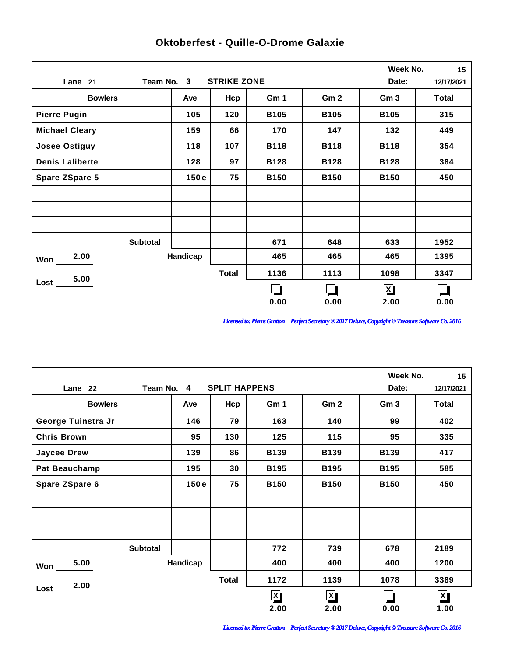|                        |          |                    |             |                 | Week No.        | 15           |
|------------------------|----------|--------------------|-------------|-----------------|-----------------|--------------|
| Team No. 3<br>Lane 21  |          | <b>STRIKE ZONE</b> |             |                 | Date:           | 12/17/2021   |
| <b>Bowlers</b>         | Ave      | Hcp                | Gm 1        | Gm <sub>2</sub> | Gm <sub>3</sub> | <b>Total</b> |
| <b>Pierre Pugin</b>    | 105      | 120                | <b>B105</b> | <b>B105</b>     | <b>B105</b>     | 315          |
| <b>Michael Cleary</b>  | 159      | 66                 | 170         | 147             | 132             | 449          |
| <b>Josee Ostiguy</b>   | 118      | 107                | <b>B118</b> | <b>B118</b>     | <b>B118</b>     | 354          |
| <b>Denis Laliberte</b> | 128      | 97                 | <b>B128</b> | <b>B128</b>     | <b>B128</b>     | 384          |
| <b>Spare ZSpare 5</b>  | 150e     | 75                 | <b>B150</b> | <b>B150</b>     | <b>B150</b>     | 450          |
|                        |          |                    |             |                 |                 |              |
|                        |          |                    |             |                 |                 |              |
|                        |          |                    |             |                 |                 |              |
| <b>Subtotal</b>        |          |                    | 671         | 648             | 633             | 1952         |
| 2.00<br>Won            | Handicap |                    | 465         | 465             | 465             | 1395         |
| 5.00                   |          | <b>Total</b>       | 1136        | 1113            | 1098            | 3347         |
| Lost                   |          |                    |             |                 | $\mathbf{X}$    |              |
|                        |          |                    | 0.00        | 0.00            | 2.00            | 0.00         |

 $\overline{a}$ 

 $\overline{a}$ 

 $\overline{a}$ 

 $\overline{a}$ 

 $\overline{a}$ 

 $-$ 

 $\overline{a}$ 

 $=$   $=$ 

## **Oktoberfest - Quille-O-Drome Galaxie**

*Licensed to: Pierre Gratton Perfect Secretary ® 2017 Deluxe, Copyright © Treasure Software Co. 2016* 

 $\overline{\phantom{0}}$ 

|                      |            |                      |              |                         | Week No.        | 15                      |
|----------------------|------------|----------------------|--------------|-------------------------|-----------------|-------------------------|
| Lane 22              | Team No. 4 | <b>SPLIT HAPPENS</b> |              |                         | Date:           | 12/17/2021              |
| <b>Bowlers</b>       | Ave        | Hcp                  | Gm 1         | Gm <sub>2</sub>         | Gm <sub>3</sub> | Total                   |
| George Tuinstra Jr   | 146        | 79                   | 163          | 140                     | 99              | 402                     |
| <b>Chris Brown</b>   | 95         | 130                  | 125          | 115                     | 95              | 335                     |
| <b>Jaycee Drew</b>   | 139        | 86                   | <b>B139</b>  | <b>B139</b>             | <b>B139</b>     | 417                     |
| <b>Pat Beauchamp</b> | 195        | 30                   | <b>B195</b>  | <b>B195</b>             | <b>B195</b>     | 585                     |
| Spare ZSpare 6       | 150e       | 75                   | <b>B150</b>  | <b>B150</b>             | <b>B150</b>     | 450                     |
|                      |            |                      |              |                         |                 |                         |
|                      |            |                      |              |                         |                 |                         |
|                      |            |                      |              |                         |                 |                         |
| <b>Subtotal</b>      |            |                      | 772          | 739                     | 678             | 2189                    |
| 5.00<br>Won          | Handicap   |                      | 400          | 400                     | 400             | 1200                    |
| 2.00                 |            | <b>Total</b>         | 1172         | 1139                    | 1078            | 3389                    |
| Lost                 |            |                      | $\mathbf{x}$ | $\overline{\mathbf{X}}$ |                 | $\overline{\mathbf{X}}$ |
|                      |            |                      | 2.00         | 2.00                    | 0.00            | 1.00                    |